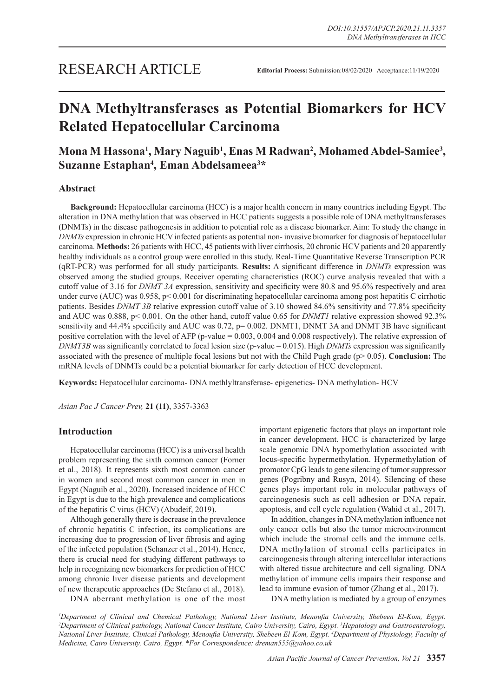# RESEARCH ARTICLE

# **DNA Methyltransferases as Potential Biomarkers for HCV Related Hepatocellular Carcinoma**

# **Mona M Hassona1 , Mary Naguib1 , Enas M Radwan2 , Mohamed Abdel-Samiee3 , Suzanne Estaphan4 , Eman Abdelsameea3 \***

# **Abstract**

**Background:** Hepatocellular carcinoma (HCC) is a major health concern in many countries including Egypt. The alteration in DNA methylation that was observed in HCC patients suggests a possible role of DNA methyltransferases (DNMTs) in the disease pathogenesis in addition to potential role as a disease biomarker. Aim: To study the change in *DNMTs* expression in chronic HCV infected patients as potential non- invasive biomarker for diagnosis of hepatocellular carcinoma. **Methods:** 26 patients with HCC, 45 patients with liver cirrhosis, 20 chronic HCV patients and 20 apparently healthy individuals as a control group were enrolled in this study. Real-Time Quantitative Reverse Transcription PCR (qRT-PCR) was performed for all study participants. **Results:** A significant difference in *DNMTs* expression was observed among the studied groups. Receiver operating characteristics (ROC) curve analysis revealed that with a cutoff value of 3.16 for *DNMT 3A* expression, sensitivity and specificity were 80.8 and 95.6% respectively and area under curve (AUC) was 0.958, p< 0.001 for discriminating hepatocellular carcinoma among post hepatitis C cirrhotic patients. Besides *DNMT 3B* relative expression cutoff value of 3.10 showed 84.6% sensitivity and 77.8% specificity and AUC was 0.888, p< 0.001. On the other hand, cutoff value 0.65 for *DNMT1* relative expression showed 92.3% sensitivity and 44.4% specificity and AUC was 0.72, p= 0.002. DNMT1, DNMT 3A and DNMT 3B have significant positive correlation with the level of AFP (p-value = 0.003, 0.004 and 0.008 respectively). The relative expression of *DNMT3B* was significantly correlated to focal lesion size (p-value = 0.015). High *DNMTs* expression was significantly associated with the presence of multiple focal lesions but not with the Child Pugh grade (p> 0.05). **Conclusion:** The mRNA levels of DNMTs could be a potential biomarker for early detection of HCC development.

**Keywords:** Hepatocellular carcinoma- DNA methlyltransferase- epigenetics- DNA methylation- HCV

*Asian Pac J Cancer Prev,* **21 (11)**, 3357-3363

# **Introduction**

Hepatocellular carcinoma (HCC) is a universal health problem representing the sixth common cancer (Forner et al., 2018). It represents sixth most common cancer in women and second most common cancer in men in Egypt (Naguib et al., 2020). Increased incidence of HCC in Egypt is due to the high prevalence and complications of the hepatitis C virus (HCV) (Abudeif, 2019).

Although generally there is decrease in the prevalence of chronic hepatitis C infection, its complications are increasing due to progression of liver fibrosis and aging of the infected population (Schanzer et al., 2014). Hence, there is crucial need for studying different pathways to help in recognizing new biomarkers for prediction of HCC among chronic liver disease patients and development of new therapeutic approaches (De Stefano et al., 2018).

DNA aberrant methylation is one of the most

important epigenetic factors that plays an important role in cancer development. HCC is characterized by large scale genomic DNA hypomethylation associated with locus-specific hypermethylation. Hypermethylation of promotor CpG leads to gene silencing of tumor suppressor genes (Pogribny and Rusyn, 2014). Silencing of these genes plays important role in molecular pathways of carcinogenesis such as cell adhesion or DNA repair, apoptosis, and cell cycle regulation (Wahid et al., 2017).

In addition, changes in DNA methylation influence not only cancer cells but also the tumor microenvironment which include the stromal cells and the immune cells. DNA methylation of stromal cells participates in carcinogenesis through altering intercellular interactions with altered tissue architecture and cell signaling. DNA methylation of immune cells impairs their response and lead to immune evasion of tumor (Zhang et al., 2017).

DNA methylation is mediated by a group of enzymes

<sup>1</sup>Department of Clinical and Chemical Pathology, National Liver Institute, Menoufia University, Shebeen El-Kom, Egypt. <sup>2</sup>Department of Clinical pathology, National Cancer Institute, Cairo University, Cairo, Egypt. <sup>3</sup>Hepatology and Gastroenterology, *National Liver Institute, Clinical Pathology, Menoufia University, Shebeen El-Kom, Egypt. <sup>4</sup> Department of Physiology, Faculty of Medicine, Cairo University, Cairo, Egypt. \*For Correspondence: dreman555@yahoo.co.uk*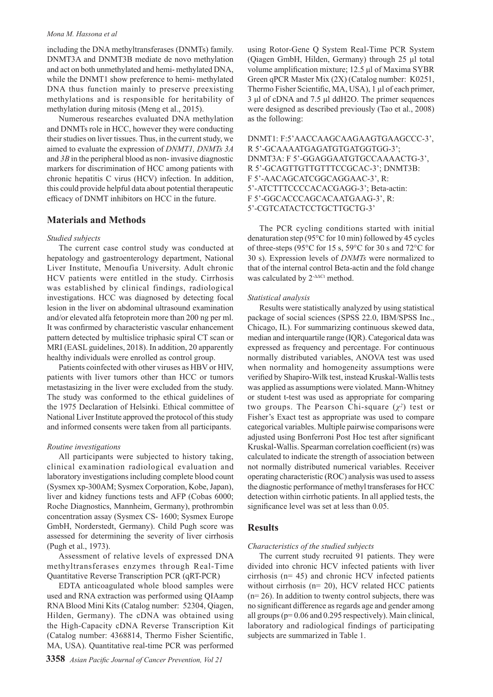#### *Mona M. Hassona et al*

including the DNA methyltransferases (DNMTs) family. DNMT3A and DNMT3B mediate de novo methylation and act on both unmethylated and hemi- methylated DNA, while the DNMT1 show preference to hemi- methylated DNA thus function mainly to preserve preexisting methylations and is responsible for heritability of methylation during mitosis (Meng et al., 2015).

Numerous researches evaluated DNA methylation and DNMTs role in HCC, however they were conducting their studies on liver tissues. Thus, in the current study, we aimed to evaluate the expression of *DNMT1, DNMTs 3A*  and *3B* in the peripheral blood as non- invasive diagnostic markers for discrimination of HCC among patients with chronic hepatitis C virus (HCV) infection. In addition, this could provide helpful data about potential therapeutic efficacy of DNMT inhibitors on HCC in the future.

# **Materials and Methods**

#### *Studied subjects*

The current case control study was conducted at hepatology and gastroenterology department, National Liver Institute, Menoufia University. Adult chronic HCV patients were entitled in the study. Cirrhosis was established by clinical findings, radiological investigations. HCC was diagnosed by detecting focal lesion in the liver on abdominal ultrasound examination and/or elevated alfa fetoprotein more than 200 ng per ml. It was confirmed by characteristic vascular enhancement pattern detected by multislice triphasic spiral CT scan or MRI (EASL guidelines, 2018). In addition, 20 apparently healthy individuals were enrolled as control group.

Patients coinfected with other viruses as HBV or HIV, patients with liver tumors other than HCC or tumors metastasizing in the liver were excluded from the study. The study was conformed to the ethical guidelines of the 1975 Declaration of Helsinki. Ethical committee of National Liver Institute approved the protocol of this study and informed consents were taken from all participants.

#### *Routine investigations*

All participants were subjected to history taking, clinical examination radiological evaluation and laboratory investigations including complete blood count (Sysmex xp-300AM; Sysmex Corporation, Kobe, Japan), liver and kidney functions tests and AFP (Cobas 6000; Roche Diagnostics, Mannheim, Germany), prothrombin concentration assay (Sysmex CS- 1600; Sysmex Europe GmbH, Norderstedt, Germany). Child Pugh score was assessed for determining the severity of liver cirrhosis (Pugh et al., 1973).

Assessment of relative levels of expressed DNA methyltransferases enzymes through Real-Time Quantitative Reverse Transcription PCR (qRT-PCR)

EDTA anticoagulated whole blood samples were used and RNA extraction was performed using QIAamp RNA Blood Mini Kits (Catalog number: 52304, Qiagen, Hilden, Germany). The cDNA was obtained using the High-Capacity cDNA Reverse Transcription Kit (Catalog number: 4368814, Thermo Fisher Scientific, MA, USA). Quantitative real-time PCR was performed

**3358** *Asian Pacific Journal of Cancer Prevention, Vol 21*

using Rotor-Gene Q System Real-Time PCR System (Qiagen GmbH, Hilden, Germany) through 25 μl total volume amplification mixture; 12.5 μl of Maxima SYBR Green qPCR Master Mix (2X) (Catalog number: K0251, Thermo Fisher Scientific, MA, USA), 1 μl of each primer, 3 μl of cDNA and 7.5 μl ddH2O. The primer sequences were designed as described previously (Tao et al., 2008) as the following:

DNMT1: F:5'AACCAAGCAAGAAGTGAAGCCC-3', R 5'-GCAAAATGAGATGTGATGGTGG-3'; DNMT3A: F 5'-GGAGGAATGTGCCAAAACTG-3', R 5'-GCAGTTGTTGTTTCCGCAC-3'; DNMT3B: F 5'-AACAGCATCGGCAGGAAC-3', R: 5'-ATCTTTCCCCACACGAGG-3'; Beta-actin: F 5'-GGCACCCAGCACAATGAAG-3', R: 5'-CGTCATACTCCTGCTTGCTG-3'

The PCR cycling conditions started with initial denaturation step (95°C for 10 min) followed by 45 cycles of three-steps (95°C for 15 s, 59°C for 30 s and 72°C for 30 s). Expression levels of *DNMTs* were normalized to that of the internal control Beta-actin and the fold change was calculated by 2<sup>-ΔΔCt</sup> method.

#### *Statistical analysis*

Results were statistically analyzed by using statistical package of social sciences (SPSS 22.0, IBM/SPSS Inc., Chicago, IL). For summarizing continuous skewed data, median and interquartile range (IQR). Categorical data was expressed as frequency and percentage. For continuous normally distributed variables, ANOVA test was used when normality and homogeneity assumptions were verified by Shapiro-Wilk test, instead Kruskal-Wallis tests was applied as assumptions were violated. Mann-Whitney or student t-test was used as appropriate for comparing two groups. The Pearson Chi-square  $(\chi^2)$  test or Fisher's Exact test as appropriate was used to compare categorical variables. Multiple pairwise comparisons were adjusted using Bonferroni Post Hoc test after significant Kruskal-Wallis. Spearman correlation coefficient (rs) was calculated to indicate the strength of association between not normally distributed numerical variables. Receiver operating characteristic (ROC) analysis was used to assess the diagnostic performance of methyl transferases for HCC detection within cirrhotic patients. In all applied tests, the significance level was set at less than 0.05.

#### **Results**

#### *Characteristics of the studied subjects*

The current study recruited 91 patients. They were divided into chronic HCV infected patients with liver cirrhosis (n= 45) and chronic HCV infected patients without cirrhosis (n= 20), HCV related HCC patients  $(n= 26)$ . In addition to twenty control subjects, there was no significant difference as regards age and gender among all groups (p= 0.06 and 0.295 respectively). Main clinical, laboratory and radiological findings of participating subjects are summarized in Table 1.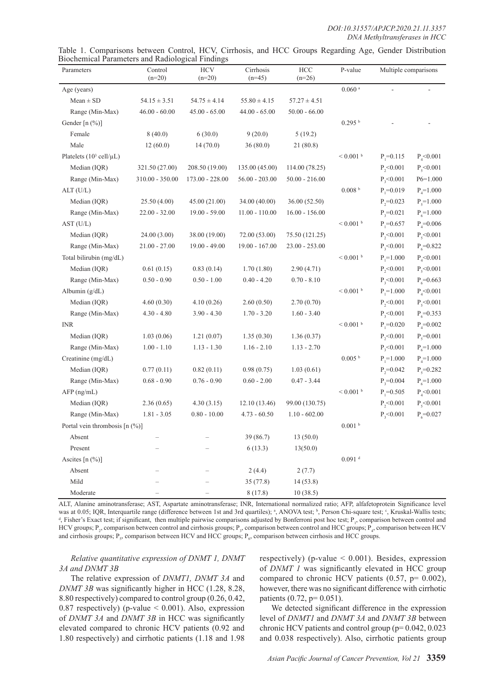| Table 1. Comparisons between Control, HCV, Cirrhosis, and HCC Groups Regarding Age, Gender Distribution |  |  |  |  |  |  |
|---------------------------------------------------------------------------------------------------------|--|--|--|--|--|--|
| Biochemical Parameters and Radiological Findings                                                        |  |  |  |  |  |  |

| rochemeur i ununciers und rudiologiear i maings<br>Parameters | Control<br>$(n=20)$ | <b>HCV</b><br>$(n=20)$ | Cirrhosis<br>$(n=45)$ | HCC<br>$(n=26)$  | P-value                   | Multiple comparisons |                 |
|---------------------------------------------------------------|---------------------|------------------------|-----------------------|------------------|---------------------------|----------------------|-----------------|
| Age (years)                                                   |                     |                        |                       |                  | $0.060$ $^{\rm a}$        |                      |                 |
| $Mean \pm SD$                                                 | $54.15 \pm 3.51$    | $54.75 \pm 4.14$       | $55.80 \pm 4.15$      | $57.27 \pm 4.51$ |                           |                      |                 |
| Range (Min-Max)                                               | $46.00 - 60.00$     | $45.00 - 65.00$        | $44.00 - 65.00$       | $50.00 - 66.00$  |                           |                      |                 |
| Gender [n (%)]                                                |                     |                        |                       |                  | $0.295$ b                 |                      |                 |
| Female                                                        | 8(40.0)             | 6(30.0)                | 9(20.0)               | 5(19.2)          |                           |                      |                 |
| Male                                                          | 12(60.0)            | 14(70.0)               | 36(80.0)              | 21(80.8)         |                           |                      |                 |
| Platelets $(10^3 \text{ cell}/\mu\text{L})$                   |                     |                        |                       |                  | $\leq 0.001$ $^{\rm b}$   | $P_1 = 0.115$        | $P_{4}$ < 0.001 |
| Median (IQR)                                                  | 321.50 (27.00)      | 208.50 (19.00)         | 135.00 (45.00)        | 114.00 (78.25)   |                           | $P_{2} < 0.001$      | $P_5 < 0.001$   |
| Range (Min-Max)                                               | $310.00 - 350.00$   | $173.00 - 228.00$      | $56.00 - 203.00$      | $50.00 - 216.00$ |                           | P, 0.001             | $P6=1.000$      |
| ALT (U/L)                                                     |                     |                        |                       |                  | 0.008 <sup>b</sup>        | $P_1 = 0.019$        | $P_4 = 1.000$   |
| Median (IQR)                                                  | 25.50(4.00)         | 45.00 (21.00)          | 34.00 (40.00)         | 36.00 (52.50)    |                           | $P_{2}=0.023$        | $P_5 = 1.000$   |
| Range (Min-Max)                                               | $22.00 - 32.00$     | $19.00 - 59.00$        | $11.00 - 110.00$      | $16.00 - 156.00$ |                           | $P_3 = 0.021$        | $P_6 = 1.000$   |
| AST (U/L)                                                     |                     |                        |                       |                  | $< 0.001$ b               | $P_1 = 0.657$        | $P_4 = 0.006$   |
| Median (IQR)                                                  | 24.00 (3.00)        | 38.00 (19.00)          | 72.00 (53.00)         | 75.50 (121.25)   |                           | $P_{2}$ <0.001       | $P_{5}$ <0.001  |
| Range (Min-Max)                                               | $21.00 - 27.00$     | $19.00 - 49.00$        | $19.00 - 167.00$      | $23.00 - 253.00$ |                           | $P_{3}$ <0.001       | $P_6 = 0.822$   |
| Total bilirubin (mg/dL)                                       |                     |                        |                       |                  | $< 0.001$ b               | $P_1 = 1.000$        | $P_{4}$ <0.001  |
| Median (IQR)                                                  | 0.61(0.15)          | 0.83(0.14)             | 1.70(1.80)            | 2.90(4.71)       |                           | $P_{2}$ <0.001       | $P_5 < 0.001$   |
| Range (Min-Max)                                               | $0.50 - 0.90$       | $0.50 - 1.00$          | $0.40 - 4.20$         | $0.70 - 8.10$    |                           | P, 0.001             | $P_6 = 0.663$   |
| Albumin $(g/dL)$                                              |                     |                        |                       |                  | $< 0.001$ b               | $P_1 = 1.000$        | $P_{4}$ <0.001  |
| Median (IQR)                                                  | 4.60(0.30)          | 4.10(0.26)             | 2.60(0.50)            | 2.70(0.70)       |                           | $P_{2}$ <0.001       | $P_5$ <0.001    |
| Range (Min-Max)                                               | $4.30 - 4.80$       | $3.90 - 4.30$          | $1.70 - 3.20$         | $1.60 - 3.40$    |                           | $P_{3} < 0.001$      | $P_6 = 0.353$   |
| <b>INR</b>                                                    |                     |                        |                       |                  | $< 0.001$ $^{\mathrm{b}}$ | $P_1 = 0.020$        | $P_4 = 0.002$   |
| Median (IQR)                                                  | 1.03(0.06)          | 1.21(0.07)             | 1.35(0.30)            | 1.36(0.37)       |                           | $P_{2}$ <0.001       | $P_5 = 0.001$   |
| Range (Min-Max)                                               | $1.00 - 1.10$       | $1.13 - 1.30$          | $1.16 - 2.10$         | $1.13 - 2.70$    |                           | P, 0.001             | $P_6 = 1.000$   |
| Creatinine (mg/dL)                                            |                     |                        |                       |                  | 0.005 <sup>b</sup>        | $P_1 = 1.000$        | $P_4 = 1.000$   |
| Median (IQR)                                                  | 0.77(0.11)          | 0.82(0.11)             | 0.98(0.75)            | 1.03(0.61)       |                           | $P_2 = 0.042$        | $P_5 = 0.282$   |
| Range (Min-Max)                                               | $0.68 - 0.90$       | $0.76 - 0.90$          | $0.60 - 2.00$         | $0.47 - 3.44$    |                           | $P_3 = 0.004$        | $P_6 = 1.000$   |
| AFP (ng/mL)                                                   |                     |                        |                       |                  | $\leq 0.001$ $^{\rm b}$   | $P_1 = 0.505$        | $P_{4}$ <0.001  |
| Median (IQR)                                                  | 2.36(0.65)          | 4.30(3.15)             | 12.10(13.46)          | 99.00 (130.75)   |                           | $P_{2}$ <0.001       | $P_5 < 0.001$   |
| Range (Min-Max)                                               | $1.81 - 3.05$       | $0.80 - 10.00$         | $4.73 - 60.50$        | $1.10 - 602.00$  |                           | $P_{3} < 0.001$      | $P_6 = 0.027$   |
| Portal vein thrombosis $[n (\%)]$                             |                     |                        |                       |                  | 0.001 <sup>b</sup>        |                      |                 |
| Absent                                                        |                     |                        | 39 (86.7)             | 13(50.0)         |                           |                      |                 |
| Present                                                       |                     |                        | 6(13.3)               | 13(50.0)         |                           |                      |                 |
| Ascites [n (%)]                                               |                     |                        |                       |                  | $0.091$ <sup>d</sup>      |                      |                 |
| Absent                                                        |                     |                        | 2(4.4)                | 2(7.7)           |                           |                      |                 |
| Mild                                                          |                     |                        | 35(77.8)              | 14(53.8)         |                           |                      |                 |
| Moderate                                                      |                     |                        | 8(17.8)               | 10(38.5)         |                           |                      |                 |

ALT, Alanine aminotransferase; AST, Aspartate aminotransferase; INR, International normalized ratio; AFP, alfafetoprotein Significance level was at 0.05; IQR, Interquartile range (difference between 1st and 3rd quartiles); <sup>a</sup>, ANOVA test; <sup>b</sup>, Person Chi-square test; <sup>c</sup>, Kruskal-Wallis tests; discussions; and the property of the property of the square test; , Fisher's Exact test; if significant, then multiple pairwise comparisons adjusted by Bonferroni post hoc test;  $P_i$ , comparison between control and HCV groups;  $P_2$ , comparison between control and cirrhosis groups;  $P_3$ , comparison between control and HCC groups;  $P_4$ , comparison between HCV and cirrhosis groups;  $P_s$ , comparison between HCV and HCC groups;  $P_s$ , comparison between cirrhosis and HCC groups.

*Relative quantitative expression of DNMT 1, DNMT 3A and DNMT 3B* 

The relative expression of *DNMT1, DNMT 3A* and *DNMT 3B* was significantly higher in HCC (1.28, 8.28, 8.80 respectively) compared to control group (0.26, 0.42, 0.87 respectively) (p-value  $\leq$  0.001). Also, expression of *DNMT 3A* and *DNMT 3B* in HCC was significantly elevated compared to chronic HCV patients (0.92 and 1.80 respectively) and cirrhotic patients (1.18 and 1.98

respectively) (p-value  $\leq 0.001$ ). Besides, expression of *DNMT 1* was significantly elevated in HCC group compared to chronic HCV patients  $(0.57, p= 0.002)$ , however, there was no significant difference with cirrhotic patients (0.72, p= 0.051).

We detected significant difference in the expression level of *DNMT1* and *DNMT 3A* and *DNMT 3B* between chronic HCV patients and control group (p= 0.042, 0.023 and 0.038 respectively). Also, cirrhotic patients group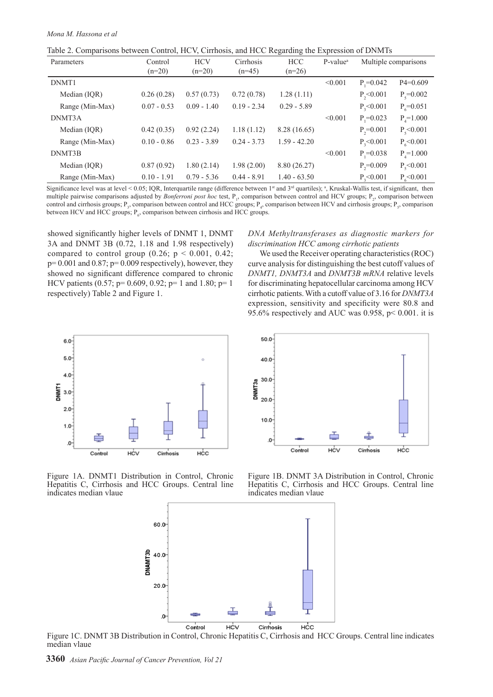|  |  |  |  |  | Table 2. Comparisons between Control, HCV, Cirrhosis, and HCC Regarding the Expression of DNMTs |
|--|--|--|--|--|-------------------------------------------------------------------------------------------------|
|  |  |  |  |  |                                                                                                 |

| Parameters      | Control       | <b>HCV</b>    | Cirrhosis     | <b>HCC</b>     | P-value <sup>a</sup> |                 | Multiple comparisons |
|-----------------|---------------|---------------|---------------|----------------|----------------------|-----------------|----------------------|
|                 | $(n=20)$      | $(n=20)$      | $(n=45)$      | $(n=26)$       |                      |                 |                      |
| DNMT1           |               |               |               |                | < 0.001              | $P_1 = 0.042$   | $P4=0.609$           |
| Median (IQR)    | 0.26(0.28)    | 0.57(0.73)    | 0.72(0.78)    | 1.28(1.11)     |                      | $P_{2}<0.001$   | $P_5 = 0.002$        |
| Range (Min-Max) | $0.07 - 0.53$ | $0.09 - 1.40$ | $0.19 - 2.34$ | $0.29 - 5.89$  |                      | $P_{3}$ <0.001  | $P_c = 0.051$        |
| DNMT3A          |               |               |               |                | < 0.001              | $P_{1} = 0.023$ | $P_{4} = 1.000$      |
| Median (IQR)    | 0.42(0.35)    | 0.92(2.24)    | 1.18(1.12)    | 8.28 (16.65)   |                      | $P_{2}=0.001$   | $P_{5}$ < 0.001      |
| Range (Min-Max) | $0.10 - 0.86$ | $0.23 - 3.89$ | $0.24 - 3.73$ | $1.59 - 42.20$ |                      | $P_{3}$ < 0.001 | $P_{6}$ <0.001       |
| DNMT3B          |               |               |               |                | < 0.001              | $P_1 = 0.038$   | $P_{4} = 1.000$      |
| Median (IQR)    | 0.87(0.92)    | 1.80(2.14)    | 1.98(2.00)    | 8.80 (26.27)   |                      | $P_{2}=0.009$   | $P_{5}$ < 0.001      |
| Range (Min-Max) | $0.10 - 1.91$ | $0.79 - 5.36$ | $0.44 - 8.91$ | $1.40 - 63.50$ |                      | $P_{0}<0.001$   | $P_{6}$ < 0.001      |
|                 |               |               |               |                |                      |                 |                      |

Significance level was at level < 0.05; IQR, Interquartile range (difference between  $1<sup>st</sup>$  and  $3<sup>rd</sup>$  quartiles); <sup>a</sup>, Kruskal-Wallis test, if significant, then multiple pairwise comparisons adjusted by *Bonferroni post hoc* test, P<sub>1</sub>, comparison between control and HCV groups; P<sub>2</sub>, comparison between control and cirrhosis groups;  $P_3$ , comparison between control and HCC groups;  $P_4$ , comparison between HCV and cirrhosis groups;  $P_5$ , comparison between HCV and HCC groups;  $P_{6}$ , comparison between cirrhosis and HCC groups.

showed significantly higher levels of DNMT 1, DNMT 3A and DNMT 3B (0.72, 1.18 and 1.98 respectively) compared to control group (0.26;  $p < 0.001$ , 0.42;  $p= 0.001$  and  $0.87$ ;  $p= 0.009$  respectively), however, they showed no significant difference compared to chronic HCV patients (0.57; p= 0.609, 0.92; p= 1 and 1.80; p= 1 respectively) Table 2 and Figure 1.

# *DNA Methyltransferases as diagnostic markers for discrimination HCC among cirrhotic patients*

We used the Receiver operating characteristics (ROC) curve analysis for distinguishing the best cutoff values of *DNMT1, DNMT3A* and *DNMT3B mRNA* relative levels for discriminating hepatocellular carcinoma among HCV cirrhotic patients. With a cutoff value of 3.16 for *DNMT3A*  expression, sensitivity and specificity were 80.8 and 95.6% respectively and AUC was 0.958, p< 0.001. it is



Figure 1A. DNMT1 Distribution in Control, Chronic Hepatitis C, Cirrhosis and HCC Groups. Central line indicates median vlaue



Figure 1B. DNMT 3A Distribution in Control, Chronic Hepatitis C, Cirrhosis and HCC Groups. Central line indicates median vlaue



Figure 1C. DNMT 3B Distribution in Control, Chronic Hepatitis C, Cirrhosis and HCC Groups. Central line indicates median vlaue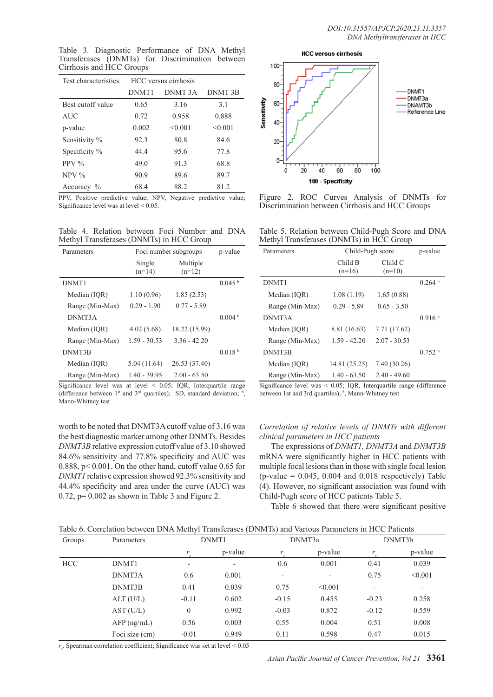Table 3. Diagnostic Performance of DNA Methyl Transferases (DNMTs) for Discrimination between Cirrhosis and HCC Groups

| Test characteristics      |       | HCC versus cirrhosis |         |
|---------------------------|-------|----------------------|---------|
|                           | DNMT1 | DNMT 3A              | DNMT 3B |
| Best cutoff value         | 0.65  | 3.16                 | 3.1     |
| <b>AUC</b>                | 0.72  | 0.958                | 0.888   |
| p-value                   | 0.002 | < 0.001              | < 0.001 |
| Sensitivity %             | 92.3  | 80.8                 | 84.6    |
| Specificity %             | 4444  | 95.6                 | 77.8    |
| PPV $\%$                  | 49.0  | 91.3                 | 68.8    |
| $NPV\%$                   | 90.9  | 89.6                 | 89.7    |
| Accuracy<br>$\frac{0}{0}$ | 68.4  | 88.2                 | 812     |

PPV, Positive predictive value; NPV, Negative predictive value; Significance level was at level < 0.05.

Table 4. Relation between Foci Number and DNA Methyl Transferases (DNMTs) in HCC Group

| Parameters      | Foci number subgroups | p-value              |                    |
|-----------------|-----------------------|----------------------|--------------------|
|                 | Single<br>$(n=14)$    | Multiple<br>$(n=12)$ |                    |
| DNMT1           |                       |                      | $0.045$ b          |
| Median (IQR)    | 1.10(0.96)            | 1.85(2.53)           |                    |
| Range (Min-Max) | $0.29 - 1.90$         | $0.77 - 5.89$        |                    |
| DNMT3A          |                       |                      | 0.004 <sup>b</sup> |
| Median (IQR)    | 4.02(5.68)            | 18.22 (15.99)        |                    |
| Range (Min-Max) | $1.59 - 30.53$        | $3.36 - 42.20$       |                    |
| DNMT3B          |                       |                      | 0.018 <sup>b</sup> |
| Median (IQR)    | 5.04(11.64)           | 26.53 (37.40)        |                    |
| Range (Min-Max) | $1.40 - 39.95$        | $2.00 - 63.50$       |                    |

Significance level was at level < 0.05; IQR, Interquartile range (difference between  $1^{st}$  and  $3^{rd}$  quartiles); SD, standard deviation;  $\frac{b}{s}$ , Mann-Whitney test

worth to be noted that DNMT3A cutoff value of 3.16 was the best diagnostic marker among other DNMTs. Besides *DNMT3B* relative expression cutoff value of 3.10 showed 84.6% sensitivity and 77.8% specificity and AUC was 0.888, p< 0.001. On the other hand, cutoff value 0.65 for *DNMT1* relative expression showed 92.3% sensitivity and 44.4% specificity and area under the curve (AUC) was  $0.72$ ,  $p= 0.002$  as shown in Table 3 and Figure 2.



Figure 2. ROC Curves Analysis of DNMTs for Discrimination between Cirrhosis and HCC Groups

|  |  | Table 5. Relation between Child-Pugh Score and DNA |  |  |
|--|--|----------------------------------------------------|--|--|
|  |  | Methyl Transferases (DNMTs) in HCC Group           |  |  |

| Parameters      | Child-Pugh score    | p-value             |                    |
|-----------------|---------------------|---------------------|--------------------|
|                 | Child B<br>$(n=16)$ | Child C<br>$(n=10)$ |                    |
| DNMT1           |                     |                     | 0.264 <sup>b</sup> |
| Median (IOR)    | 1.08(1.19)          | 1.65(0.88)          |                    |
| Range (Min-Max) | $0.29 - 5.89$       | $0.65 - 3.50$       |                    |
| DNMT3A          |                     |                     | 0.916 <sup>b</sup> |
| Median (IQR)    | 8.81 (16.63)        | 7.71 (17.62)        |                    |
| Range (Min-Max) | $1.59 - 42.20$      | $2.07 - 30.53$      |                    |
| DNMT3B          |                     |                     | 0.752 <sup>b</sup> |
| Median (IOR)    | 14.81 (25.25)       | 7.40 (30.26)        |                    |
| Range (Min-Max) | $1.40 - 63.50$      | $2.40 - 49.60$      |                    |

Significance level was < 0.05; IQR, Interquartile range (difference between 1st and 3rd quartiles); <sup>b</sup>, Mann-Whitney test

# *Correlation of relative levels of DNMTs with different clinical parameters in HCC patients*

The expressions of *DNMT1, DNMT3A* and *DNMT3B*  mRNA were significantly higher in HCC patients with multiple focal lesions than in those with single focal lesion  $(p-value = 0.045, 0.004$  and  $0.018$  respectively) Table (4). However, no significant association was found with Child-Pugh score of HCC patients Table 5.

Table 6 showed that there were significant positive

| Table 6. Correlation between DNA Methyl Transferases (DNMTs) and Various Parameters in HCC Patients |  |
|-----------------------------------------------------------------------------------------------------|--|
|-----------------------------------------------------------------------------------------------------|--|

| Groups     | Parameters     | DNMT1                    |         |                              | DNMT3a                   | DNMT3b                   |                          |
|------------|----------------|--------------------------|---------|------------------------------|--------------------------|--------------------------|--------------------------|
|            |                | r                        | p-value | r                            | p-value                  | r                        | p-value                  |
| <b>HCC</b> | DNMT1          | $\overline{\phantom{0}}$ | -       | 0.6                          | 0.001                    | 0.41                     | 0.039                    |
|            | DNMT3A         | 0.6                      | 0.001   | $\qquad \qquad \blacksquare$ | $\overline{\phantom{a}}$ | 0.75                     | < 0.001                  |
|            | DNMT3B         | 0.41                     | 0.039   | 0.75                         | < 0.001                  | $\overline{\phantom{0}}$ | $\overline{\phantom{a}}$ |
|            | ALT (U/L)      | $-0.11$                  | 0.602   | $-0.15$                      | 0.455                    | $-0.23$                  | 0.258                    |
|            | AST (U/L)      | $\overline{0}$           | 0.992   | $-0.03$                      | 0.872                    | $-0.12$                  | 0.559                    |
|            | $AFP$ (ng/mL)  | 0.56                     | 0.003   | 0.55                         | 0.004                    | 0.51                     | 0.008                    |
|            | Foci size (cm) | $-0.01$                  | 0.949   | 0.11                         | 0.598                    | 0.47                     | 0.015                    |

 $r<sub>s</sub>$ , Spearman correlation coefficient; Significance was set at level  $< 0.05$ 

*Asian Pacific Journal of Cancer Prevention, Vol 21* **3361**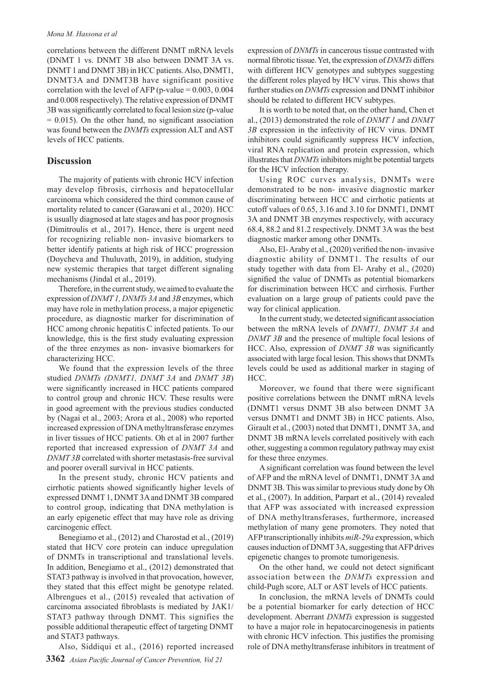correlations between the different DNMT mRNA levels (DNMT 1 vs. DNMT 3B also between DNMT 3A vs. DNMT 1 and DNMT 3B) in HCC patients. Also, DNMT1, DNMT3A and DNMT3B have significant positive correlation with the level of AFP (p-value =  $0.003$ ,  $0.004$ ) and 0.008 respectively). The relative expression of DNMT 3B was significantly correlated to focal lesion size (p-value  $= 0.015$ ). On the other hand, no significant association was found between the *DNMTs* expression ALT and AST levels of HCC patients.

## **Discussion**

The majority of patients with chronic HCV infection may develop fibrosis, cirrhosis and hepatocellular carcinoma which considered the third common cause of mortality related to cancer (Garawani et al., 2020). HCC is usually diagnosed at late stages and has poor prognosis (Dimitroulis et al., 2017). Hence, there is urgent need for recognizing reliable non- invasive biomarkers to better identify patients at high risk of HCC progression (Doycheva and Thuluvath, 2019), in addition, studying new systemic therapies that target different signaling mechanisms (Jindal et al., 2019).

Therefore, in the current study, we aimed to evaluate the expression of *DNMT 1, DNMTs 3A* and *3B* enzymes, which may have role in methylation process, a major epigenetic procedure, as diagnostic marker for discrimination of HCC among chronic hepatitis C infected patients. To our knowledge, this is the first study evaluating expression of the three enzymes as non- invasive biomarkers for characterizing HCC.

We found that the expression levels of the three studied *DNMTs (DNMT1, DNMT 3A* and *DNMT 3B*) were significantly increased in HCC patients compared to control group and chronic HCV. These results were in good agreement with the previous studies conducted by (Nagai et al., 2003; Arora et al., 2008) who reported increased expression of DNA methyltransferase enzymes in liver tissues of HCC patients. Oh et al in 2007 further reported that increased expression of *DNMT 3A* and *DNMT 3B* correlated with shorter metastasis-free survival and poorer overall survival in HCC patients.

In the present study, chronic HCV patients and cirrhotic patients showed significantly higher levels of expressed DNMT 1, DNMT 3A and DNMT 3B compared to control group, indicating that DNA methylation is an early epigenetic effect that may have role as driving carcinogenic effect.

Benegiamo et al., (2012) and Charostad et al., (2019) stated that HCV core protein can induce upregulation of DNMTs in transcriptional and translational levels. In addition, Benegiamo et al., (2012) demonstrated that STAT3 pathway is involved in that provocation, however, they stated that this effect might be genotype related. Albrengues et al., (2015) revealed that activation of carcinoma associated fibroblasts is mediated by JAK1/ STAT3 pathway through DNMT. This signifies the possible additional therapeutic effect of targeting DNMT and STAT3 pathways.

Also, Siddiqui et al., (2016) reported increased

expression of *DNMTs* in cancerous tissue contrasted with normal fibrotic tissue. Yet, the expression of *DNMTs* differs with different HCV genotypes and subtypes suggesting the different roles played by HCV virus. This shows that further studies on *DNMTs* expression and DNMT inhibitor should be related to different HCV subtypes.

It is worth to be noted that, on the other hand, Chen et al., (2013) demonstrated the role of *DNMT 1* and *DNMT 3B* expression in the infectivity of HCV virus. DNMT inhibitors could significantly suppress HCV infection, viral RNA replication and protein expression, which illustrates that *DNMTs* inhibitors might be potential targets for the HCV infection therapy.

Using ROC curves analysis, DNMTs were demonstrated to be non- invasive diagnostic marker discriminating between HCC and cirrhotic patients at cutoff values of 0.65, 3.16 and 3.10 for DNMT1, DNMT 3A and DNMT 3B enzymes respectively, with accuracy 68.4, 88.2 and 81.2 respectively. DNMT 3A was the best diagnostic marker among other DNMTs.

Also, El- Araby et al., (2020) verified the non- invasive diagnostic ability of DNMT1. The results of our study together with data from El- Araby et al., (2020) signified the value of DNMTs as potential biomarkers for discrimination between HCC and cirrhosis. Further evaluation on a large group of patients could pave the way for clinical application.

In the current study, we detected significant association between the mRNA levels of *DNMT1, DNMT 3A* and *DNMT 3B* and the presence of multiple focal lesions of HCC. Also, expression of *DNMT 3B* was significantly associated with large focal lesion. This shows that DNMTs levels could be used as additional marker in staging of HCC.

Moreover, we found that there were significant positive correlations between the DNMT mRNA levels (DNMT1 versus DNMT 3B also between DNMT 3A versus DNMT1 and DNMT 3B) in HCC patients. Also, Girault et al., (2003) noted that DNMT1, DNMT 3A, and DNMT 3B mRNA levels correlated positively with each other, suggesting a common regulatory pathway may exist for these three enzymes.

A significant correlation was found between the level of AFP and the mRNA level of DNMT1, DNMT 3A and DNMT 3B. This was similar to previous study done by Oh et al., (2007). In addition, Parpart et al., (2014) revealed that AFP was associated with increased expression of DNA methyltransferases, furthermore, increased methylation of many gene promoters. They noted that AFP transcriptionally inhibits *miR-29a* expression, which causes induction of DNMT 3A, suggesting that AFP drives epigenetic changes to promote tumorigenesis.

On the other hand, we could not detect significant association between the *DNMTs* expression and child-Pugh score, ALT or AST levels of HCC patients.

In conclusion, the mRNA levels of DNMTs could be a potential biomarker for early detection of HCC development. Aberrant *DNMTs* expression is suggested to have a major role in hepatocarcinogenesis in patients with chronic HCV infection. This justifies the promising role of DNA methyltransferase inhibitors in treatment of